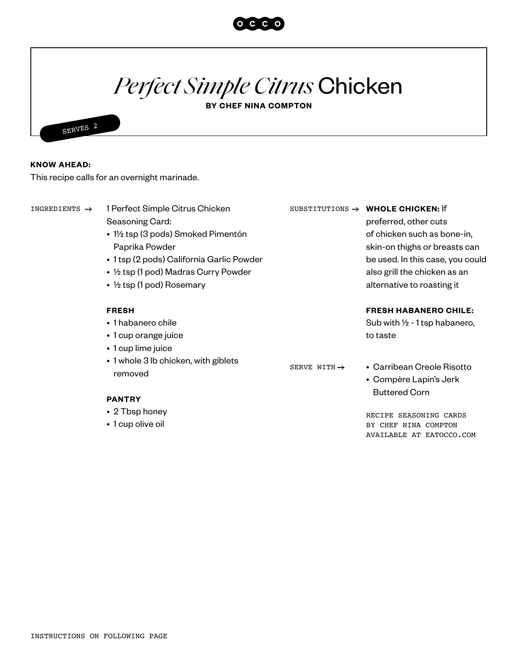

## *Perfect Simple Citrus* Chicken

**BY CHEF NINA COMPTON**



## **KNOW AHEAD:**

This recipe calls for an overnight marinade.

| INGREDIENTS $\rightarrow$ | 1 Perfect Simple Citrus Chicken                 |                          | SUBSTITUTIONS $\rightarrow$ WHOLE CHICKEN: If                                |
|---------------------------|-------------------------------------------------|--------------------------|------------------------------------------------------------------------------|
|                           | Seasoning Card:                                 |                          | preferred, other cuts                                                        |
|                           | • 1½ tsp (3 pods) Smoked Pimentón               |                          | of chicken such as bone-in,                                                  |
|                           | Paprika Powder                                  |                          | skin-on thighs or breasts can                                                |
|                           | • 1 tsp (2 pods) California Garlic Powder       |                          | be used. In this case, you could                                             |
|                           | • 1/2 tsp (1 pod) Madras Curry Powder           |                          | also grill the chicken as an                                                 |
|                           | • $\frac{1}{2}$ tsp (1 pod) Rosemary            |                          | alternative to roasting it                                                   |
|                           | <b>FRESH</b>                                    |                          | <b>FRESH HABANERO CHILE:</b>                                                 |
|                           | • 1 habanero chile                              |                          | Sub with $\frac{1}{2}$ - 1 tsp habanero,                                     |
|                           | • 1 cup orange juice                            |                          | to taste                                                                     |
|                           | • 1 cup lime juice                              |                          |                                                                              |
|                           | • 1 whole 3 lb chicken, with giblets<br>removed | SERVE WITH $\rightarrow$ | • Carribean Creole Risotto<br>• Compère Lapin's Jerk<br><b>Buttered Corn</b> |
|                           | <b>PANTRY</b>                                   |                          |                                                                              |
|                           | • 2 Tbsp honey                                  |                          | RECIPE SEASONING CARDS                                                       |
|                           | • 1 cup olive oil                               |                          | BY CHEF NINA COMPTON<br>AVAILABLE AT EATOCCO.COM                             |